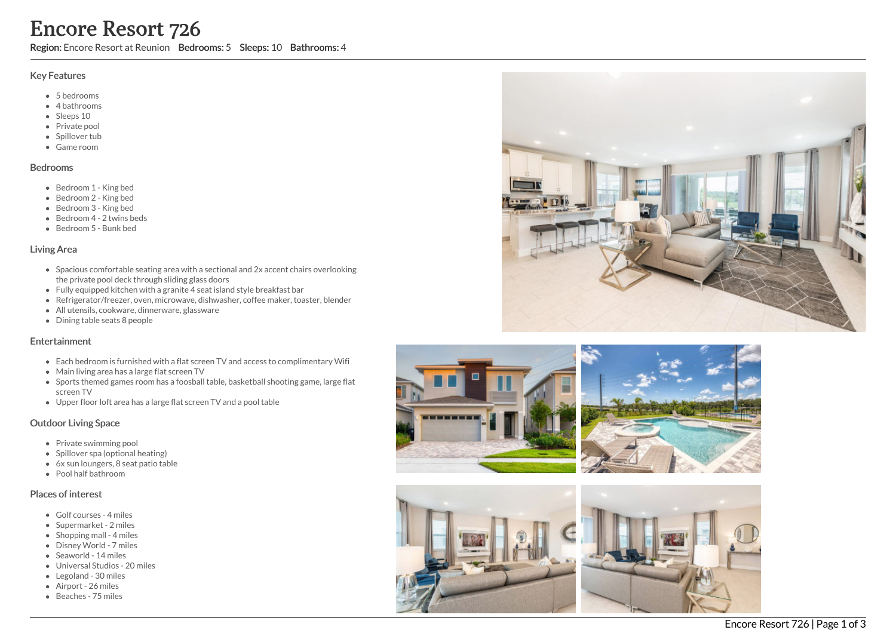# Encore Resort 726

Region: Encore Resort at Reunion Bedrooms: 5 Sleeps: 10 Bathrooms: 4

## Key Features

- 5 b e d r o o m s
- 4 bathrooms
- Sleeps 10
- Private pool
- Spillover tub
- Game room

## **Bedrooms**

- Bedroom 1 King bed
- Bedroom 2 King bed
- Bedroom 3 King bed
- Bedroom 4 2 twins beds
- Bedroom 5 Bunk bed

## Living Area

- Spacious comfortable seating area with a sectional and 2x accent chairs overlooking the private pool deck through sliding glass doors
- Fully equipped kitchen with a granite 4 seat island style breakfast bar
- Refrigerator/freezer, oven, microwave, dishwasher, coffee maker, toaster, blender
- All utensils, cookware, dinnerware, glassware
- Dining table seats 8 people

## **Entertainment**

- Each bedroom is furnished with a flat screen TV and access to complimentary Wifi
- Main living area has a large flat screen TV
- Sports themed games room has a foosball table, basketball shooting game, large fla t screen TV
- Upper floor loft area has a large flat screen TV and a pool table

# Outdoor Living Space

- Private swimming pool
- Spillover spa (optional heating)
- 6x sun loungers, 8 seat patio table
- Pool half bathroom

# Places of interest

- Golf courses 4 miles
- Supermarket 2 miles
- Shopping mall 4 miles
- Disney World 7 miles
- Seaworld 14 miles
- Universal Studios 20 miles
- Legoland 30 miles
- Airport 26 miles
- B e a c h e s 7 5 mile s





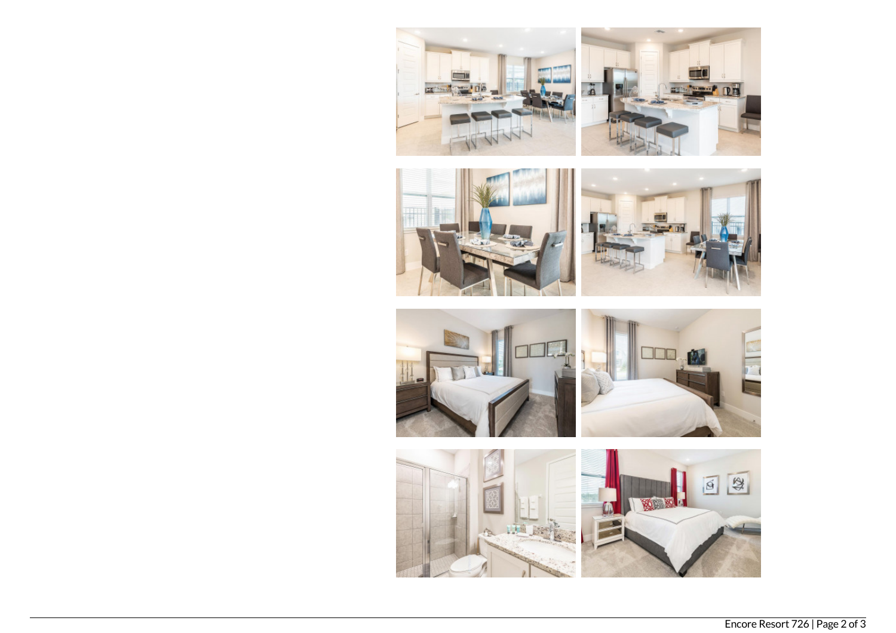